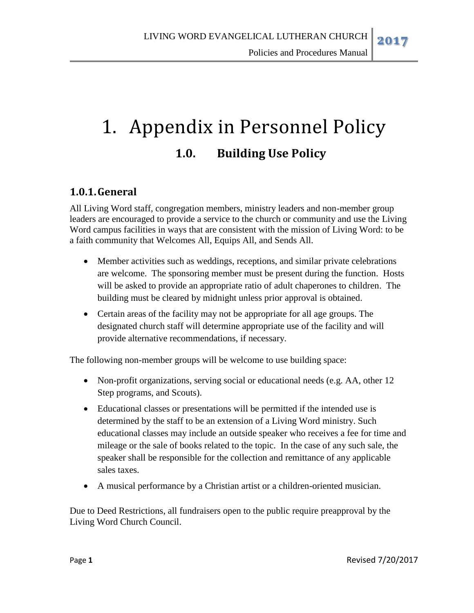Policies and Procedures Manual

# 1. Appendix in Personnel Policy **1.0. Building Use Policy**

# **1.0.1.General**

All Living Word staff, congregation members, ministry leaders and non-member group leaders are encouraged to provide a service to the church or community and use the Living Word campus facilities in ways that are consistent with the mission of Living Word: to be a faith community that Welcomes All, Equips All, and Sends All.

- Member activities such as weddings, receptions, and similar private celebrations are welcome. The sponsoring member must be present during the function. Hosts will be asked to provide an appropriate ratio of adult chaperones to children. The building must be cleared by midnight unless prior approval is obtained.
- Certain areas of the facility may not be appropriate for all age groups. The designated church staff will determine appropriate use of the facility and will provide alternative recommendations, if necessary.

The following non-member groups will be welcome to use building space:

- Non-profit organizations, serving social or educational needs (e.g. AA, other 12 Step programs, and Scouts).
- Educational classes or presentations will be permitted if the intended use is determined by the staff to be an extension of a Living Word ministry. Such educational classes may include an outside speaker who receives a fee for time and mileage or the sale of books related to the topic. In the case of any such sale, the speaker shall be responsible for the collection and remittance of any applicable sales taxes.
- A musical performance by a Christian artist or a children-oriented musician.

Due to Deed Restrictions, all fundraisers open to the public require preapproval by the Living Word Church Council.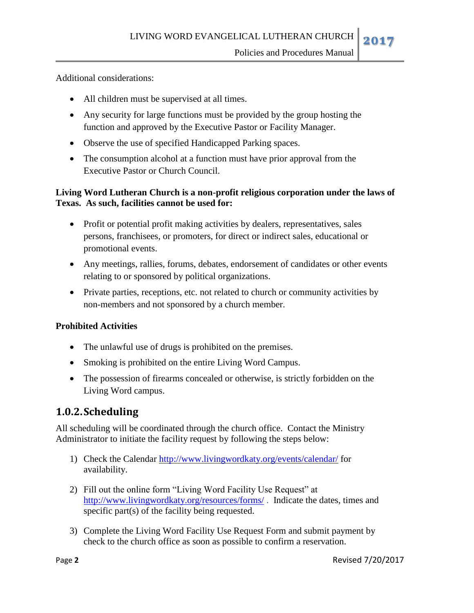Additional considerations:

- All children must be supervised at all times.
- Any security for large functions must be provided by the group hosting the function and approved by the Executive Pastor or Facility Manager.
- Observe the use of specified Handicapped Parking spaces.
- The consumption alcohol at a function must have prior approval from the Executive Pastor or Church Council.

### **Living Word Lutheran Church is a non-profit religious corporation under the laws of Texas. As such, facilities cannot be used for:**

- Profit or potential profit making activities by dealers, representatives, sales persons, franchisees, or promoters, for direct or indirect sales, educational or promotional events.
- Any meetings, rallies, forums, debates, endorsement of candidates or other events relating to or sponsored by political organizations.
- Private parties, receptions, etc. not related to church or community activities by non-members and not sponsored by a church member.

## **Prohibited Activities**

- The unlawful use of drugs is prohibited on the premises.
- Smoking is prohibited on the entire Living Word Campus.
- The possession of firearms concealed or otherwise, is strictly forbidden on the Living Word campus.

# **1.0.2.Scheduling**

All scheduling will be coordinated through the church office. Contact the Ministry Administrator to initiate the facility request by following the steps below:

- 1) Check the Calendar<http://www.livingwordkaty.org/events/calendar/> for availability.
- 2) Fill out the online form "Living Word Facility Use Request" at <http://www.livingwordkaty.org/resources/forms/> . Indicate the dates, times and specific part(s) of the facility being requested.
- 3) Complete the Living Word Facility Use Request Form and submit payment by check to the church office as soon as possible to confirm a reservation.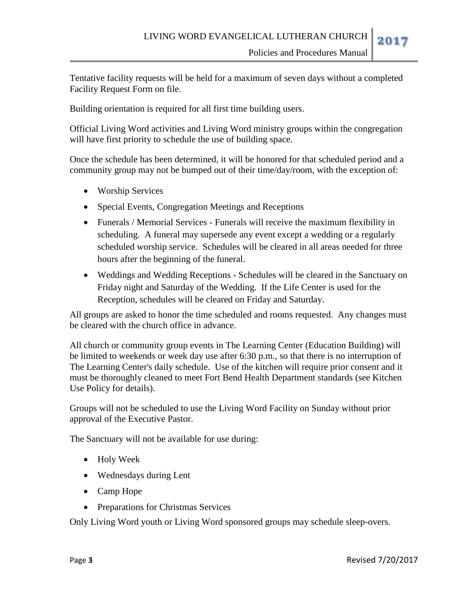Tentative facility requests will be held for a maximum of seven days without a completed Facility Request Form on file.

Building orientation is required for all first time building users.

Official Living Word activities and Living Word ministry groups within the congregation will have first priority to schedule the use of building space.

Once the schedule has been determined, it will be honored for that scheduled period and a community group may not be bumped out of their time/day/room, with the exception of:

- Worship Services
- Special Events, Congregation Meetings and Receptions
- Funerals / Memorial Services Funerals will receive the maximum flexibility in scheduling. A funeral may supersede any event except a wedding or a regularly scheduled worship service. Schedules will be cleared in all areas needed for three hours after the beginning of the funeral.
- Weddings and Wedding Receptions Schedules will be cleared in the Sanctuary on Friday night and Saturday of the Wedding. If the Life Center is used for the Reception, schedules will be cleared on Friday and Saturday.

All groups are asked to honor the time scheduled and rooms requested. Any changes must be cleared with the church office in advance.

All church or community group events in The Learning Center (Education Building) will be limited to weekends or week day use after 6:30 p.m., so that there is no interruption of The Learning Center's daily schedule. Use of the kitchen will require prior consent and it must be thoroughly cleaned to meet Fort Bend Health Department standards (see Kitchen Use Policy for details).

Groups will not be scheduled to use the Living Word Facility on Sunday without prior approval of the Executive Pastor.

The Sanctuary will not be available for use during:

- Holy Week
- Wednesdays during Lent
- Camp Hope
- Preparations for Christmas Services

Only Living Word youth or Living Word sponsored groups may schedule sleep-overs.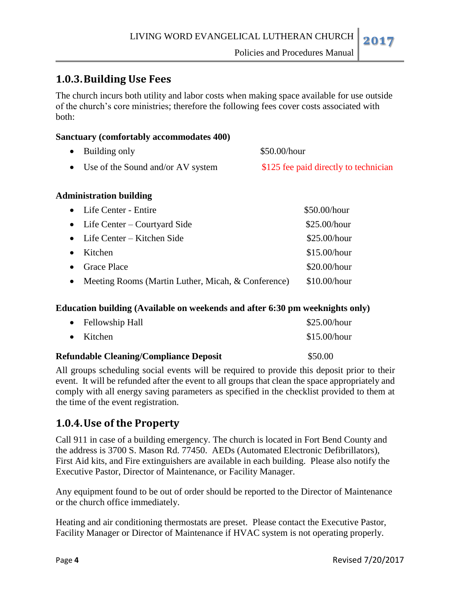## **1.0.3.Building Use Fees**

The church incurs both utility and labor costs when making space available for use outside of the church's core ministries; therefore the following fees cover costs associated with both:

#### **Sanctuary (comfortably accommodates 400)**

| $\bullet$ Building only             | \$50.00/hour                          |
|-------------------------------------|---------------------------------------|
| • Use of the Sound and/or AV system | \$125 fee paid directly to technician |

#### **Administration building**

|           | • Life Center - Entire                                 | \$50.00/hour   |
|-----------|--------------------------------------------------------|----------------|
|           | • Life Center – Courtyard Side                         | \$25.00/hour   |
|           | • Life Center – Kitchen Side                           | \$25.00/hour   |
| $\bullet$ | Kitchen                                                | \$15.00/hour   |
|           | • Grace Place                                          | \$20.00/hour   |
|           | • Meeting Rooms (Martin Luther, Micah, $&$ Conference) | $$10.00/h$ our |

#### **Education building (Available on weekends and after 6:30 pm weeknights only)**

|  | <b>Refundable Cleaning/Compliance Deposit</b> | \$50.00      |
|--|-----------------------------------------------|--------------|
|  | $\bullet$ Kitchen                             | \$15.00/hour |
|  | • Fellowship Hall                             | \$25.00/hour |

All groups scheduling social events will be required to provide this deposit prior to their event. It will be refunded after the event to all groups that clean the space appropriately and comply with all energy saving parameters as specified in the checklist provided to them at the time of the event registration.

## **1.0.4.Use of the Property**

Call 911 in case of a building emergency. The church is located in Fort Bend County and the address is 3700 S. Mason Rd. 77450. AEDs (Automated Electronic Defibrillators), First Aid kits, and Fire extinguishers are available in each building. Please also notify the Executive Pastor, Director of Maintenance, or Facility Manager.

Any equipment found to be out of order should be reported to the Director of Maintenance or the church office immediately.

Heating and air conditioning thermostats are preset. Please contact the Executive Pastor, Facility Manager or Director of Maintenance if HVAC system is not operating properly.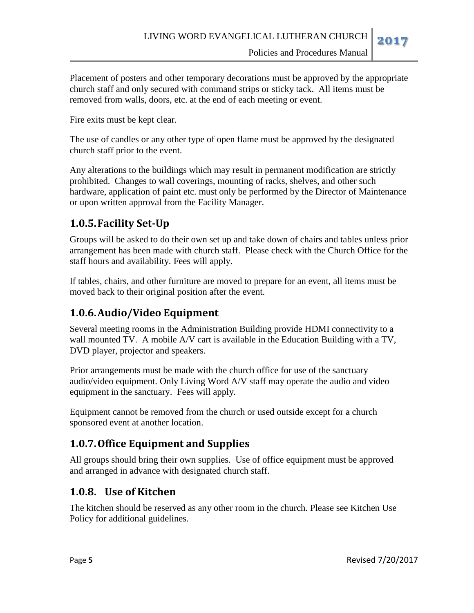Placement of posters and other temporary decorations must be approved by the appropriate church staff and only secured with command strips or sticky tack. All items must be removed from walls, doors, etc. at the end of each meeting or event.

Fire exits must be kept clear.

The use of candles or any other type of open flame must be approved by the designated church staff prior to the event.

Any alterations to the buildings which may result in permanent modification are strictly prohibited. Changes to wall coverings, mounting of racks, shelves, and other such hardware, application of paint etc. must only be performed by the Director of Maintenance or upon written approval from the Facility Manager.

## **1.0.5.Facility Set-Up**

Groups will be asked to do their own set up and take down of chairs and tables unless prior arrangement has been made with church staff. Please check with the Church Office for the staff hours and availability. Fees will apply.

If tables, chairs, and other furniture are moved to prepare for an event, all items must be moved back to their original position after the event.

# **1.0.6.Audio/Video Equipment**

Several meeting rooms in the Administration Building provide HDMI connectivity to a wall mounted TV. A mobile A/V cart is available in the Education Building with a TV, DVD player, projector and speakers.

Prior arrangements must be made with the church office for use of the sanctuary audio/video equipment. Only Living Word A/V staff may operate the audio and video equipment in the sanctuary. Fees will apply.

Equipment cannot be removed from the church or used outside except for a church sponsored event at another location.

# **1.0.7.Office Equipment and Supplies**

All groups should bring their own supplies. Use of office equipment must be approved and arranged in advance with designated church staff.

## **1.0.8. Use of Kitchen**

The kitchen should be reserved as any other room in the church. Please see Kitchen Use Policy for additional guidelines.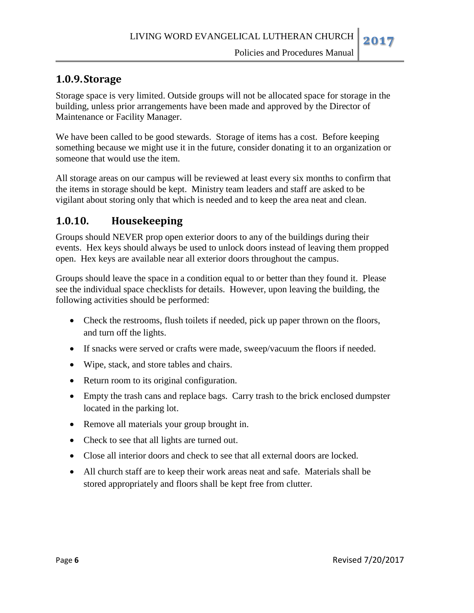## **1.0.9.Storage**

Storage space is very limited. Outside groups will not be allocated space for storage in the building, unless prior arrangements have been made and approved by the Director of Maintenance or Facility Manager.

We have been called to be good stewards. Storage of items has a cost. Before keeping something because we might use it in the future, consider donating it to an organization or someone that would use the item.

All storage areas on our campus will be reviewed at least every six months to confirm that the items in storage should be kept. Ministry team leaders and staff are asked to be vigilant about storing only that which is needed and to keep the area neat and clean.

## **1.0.10. Housekeeping**

Groups should NEVER prop open exterior doors to any of the buildings during their events. Hex keys should always be used to unlock doors instead of leaving them propped open. Hex keys are available near all exterior doors throughout the campus.

Groups should leave the space in a condition equal to or better than they found it. Please see the individual space checklists for details. However, upon leaving the building, the following activities should be performed:

- Check the restrooms, flush toilets if needed, pick up paper thrown on the floors, and turn off the lights.
- If snacks were served or crafts were made, sweep/vacuum the floors if needed.
- Wipe, stack, and store tables and chairs.
- Return room to its original configuration.
- Empty the trash cans and replace bags. Carry trash to the brick enclosed dumpster located in the parking lot.
- Remove all materials your group brought in.
- Check to see that all lights are turned out.
- Close all interior doors and check to see that all external doors are locked.
- All church staff are to keep their work areas neat and safe. Materials shall be stored appropriately and floors shall be kept free from clutter.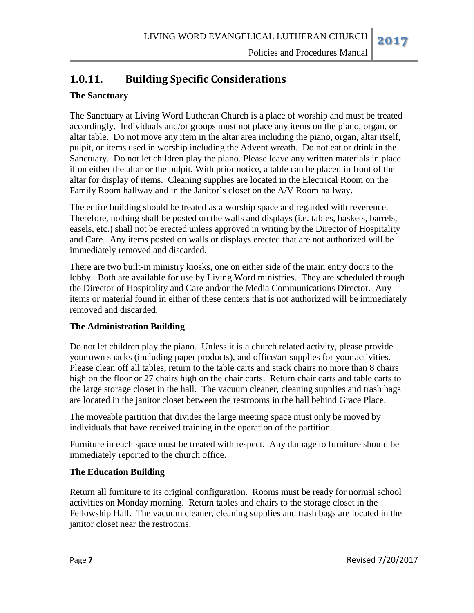# **1.0.11. Building Specific Considerations**

### **The Sanctuary**

The Sanctuary at Living Word Lutheran Church is a place of worship and must be treated accordingly. Individuals and/or groups must not place any items on the piano, organ, or altar table. Do not move any item in the altar area including the piano, organ, altar itself, pulpit, or items used in worship including the Advent wreath. Do not eat or drink in the Sanctuary. Do not let children play the piano. Please leave any written materials in place if on either the altar or the pulpit. With prior notice, a table can be placed in front of the altar for display of items. Cleaning supplies are located in the Electrical Room on the Family Room hallway and in the Janitor's closet on the A/V Room hallway.

The entire building should be treated as a worship space and regarded with reverence. Therefore, nothing shall be posted on the walls and displays (i.e. tables, baskets, barrels, easels, etc.) shall not be erected unless approved in writing by the Director of Hospitality and Care. Any items posted on walls or displays erected that are not authorized will be immediately removed and discarded.

There are two built-in ministry kiosks, one on either side of the main entry doors to the lobby. Both are available for use by Living Word ministries. They are scheduled through the Director of Hospitality and Care and/or the Media Communications Director. Any items or material found in either of these centers that is not authorized will be immediately removed and discarded.

#### **The Administration Building**

Do not let children play the piano. Unless it is a church related activity, please provide your own snacks (including paper products), and office/art supplies for your activities. Please clean off all tables, return to the table carts and stack chairs no more than 8 chairs high on the floor or 27 chairs high on the chair carts. Return chair carts and table carts to the large storage closet in the hall. The vacuum cleaner, cleaning supplies and trash bags are located in the janitor closet between the restrooms in the hall behind Grace Place.

The moveable partition that divides the large meeting space must only be moved by individuals that have received training in the operation of the partition.

Furniture in each space must be treated with respect. Any damage to furniture should be immediately reported to the church office.

#### **The Education Building**

Return all furniture to its original configuration. Rooms must be ready for normal school activities on Monday morning. Return tables and chairs to the storage closet in the Fellowship Hall. The vacuum cleaner, cleaning supplies and trash bags are located in the janitor closet near the restrooms.